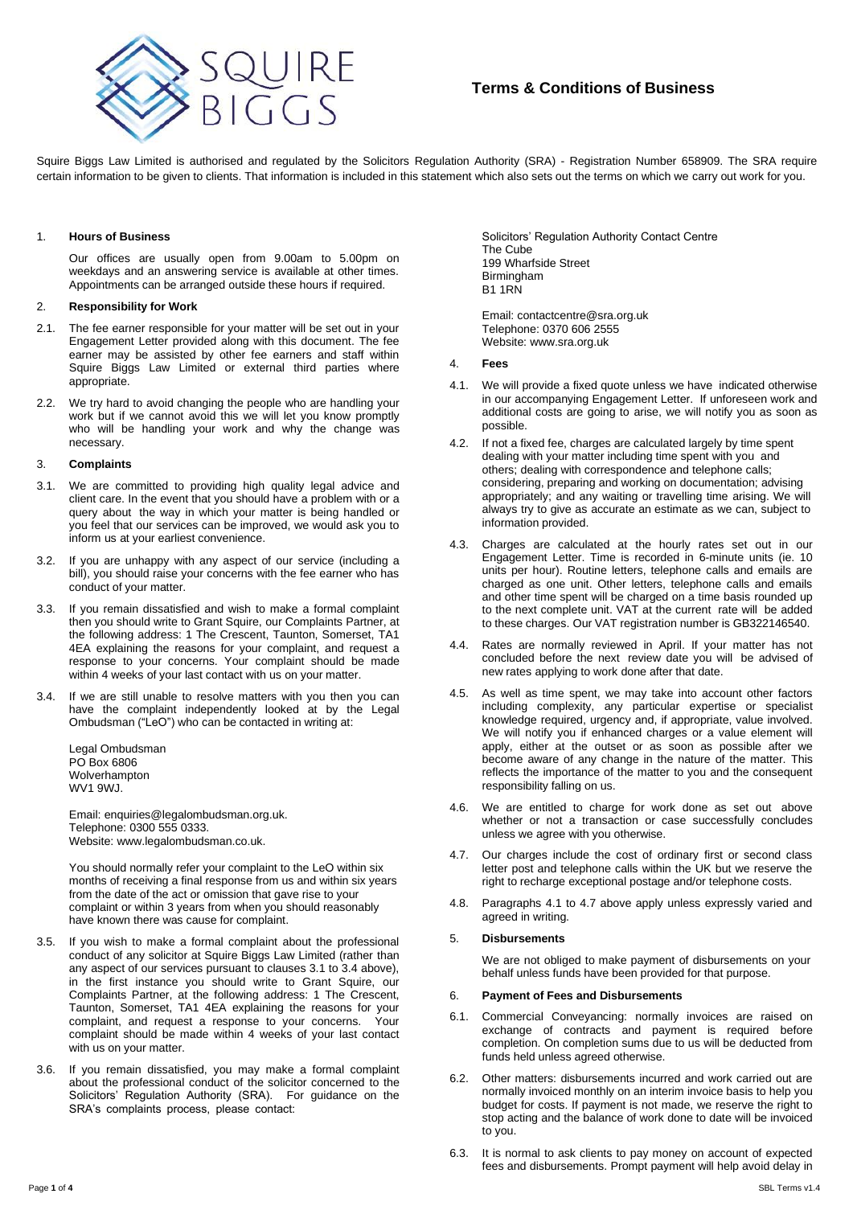

# **Terms & Conditions of Business**

Squire Biggs Law Limited is authorised and regulated by the Solicitors Regulation Authority (SRA) - Registration Number 658909. The SRA require certain information to be given to clients. That information is included in this statement which also sets out the terms on which we carry out work for you.

### 1. **Hours of Business**

Our offices are usually open from 9.00am to 5.00pm on weekdays and an answering service is available at other times. Appointments can be arranged outside these hours if required.

# 2. **Responsibility for Work**

- 2.1. The fee earner responsible for your matter will be set out in your Engagement Letter provided along with this document. The fee earner may be assisted by other fee earners and staff within Squire Biggs Law Limited or external third parties where appropriate.
- 2.2. We try hard to avoid changing the people who are handling your work but if we cannot avoid this we will let you know promptly who will be handling your work and why the change was necessary.

# 3. **Complaints**

- 3.1. We are committed to providing high quality legal advice and client care. In the event that you should have a problem with or a query about the way in which your matter is being handled or you feel that our services can be improved, we would ask you to inform us at your earliest convenience.
- 3.2. If you are unhappy with any aspect of our service (including a bill), you should raise your concerns with the fee earner who has conduct of your matter.
- 3.3. If you remain dissatisfied and wish to make a formal complaint then you should write to Grant Squire, our Complaints Partner, at the following address: 1 The Crescent, Taunton, Somerset, TA1 4EA explaining the reasons for your complaint, and request a response to your concerns. Your complaint should be made within 4 weeks of your last contact with us on your matter.
- 3.4. If we are still unable to resolve matters with you then you can have the complaint independently looked at by the Legal Ombudsman ("LeO") who can be contacted in writing at:

Legal Ombudsman PO Box 6806 Wolverhampton WV1 9WJ.

Email: enquiries@legalombudsman.org.uk. Telephone: 0300 555 0333. Website: www.legalombudsman.co.uk.

You should normally refer your complaint to the LeO within six months of receiving a final response from us and within six years from the date of the act or omission that gave rise to your complaint or within 3 years from when you should reasonably have known there was cause for complaint.

- 3.5. If you wish to make a formal complaint about the professional conduct of any solicitor at Squire Biggs Law Limited (rather than any aspect of our services pursuant to clauses 3.1 to 3.4 above), in the first instance you should write to Grant Squire, our Complaints Partner, at the following address: 1 The Crescent, Taunton, Somerset, TA1 4EA explaining the reasons for your complaint, and request a response to your concerns. Your complaint should be made within 4 weeks of your last contact with us on your matter.
- 3.6. If you remain dissatisfied, you may make a formal complaint about the professional conduct of the solicitor concerned to the Solicitors' Regulation Authority (SRA). For guidance on the SRA's complaints process, please contact:

Solicitors' Regulation Authority Contact Centre The Cube 199 Wharfside Street Birmingham B1 1RN

Email: contactcentre@sra.org.uk Telephone: 0370 606 2555 Website: www.sra.org.uk

### 4. **Fees**

- 4.1. We will provide a fixed quote unless we have indicated otherwise in our accompanying Engagement Letter. If unforeseen work and additional costs are going to arise, we will notify you as soon as possible.
- 4.2. If not a fixed fee, charges are calculated largely by time spent dealing with your matter including time spent with you and others; dealing with correspondence and telephone calls; considering, preparing and working on documentation; advising appropriately; and any waiting or travelling time arising. We will always try to give as accurate an estimate as we can, subject to information provided.
- 4.3. Charges are calculated at the hourly rates set out in our Engagement Letter. Time is recorded in 6-minute units (ie. 10 units per hour). Routine letters, telephone calls and emails are charged as one unit. Other letters, telephone calls and emails and other time spent will be charged on a time basis rounded up to the next complete unit. VAT at the current rate will be added to these charges. Our VAT registration number is GB322146540.
- 4.4. Rates are normally reviewed in April. If your matter has not concluded before the next review date you will be advised of new rates applying to work done after that date.
- 4.5. As well as time spent, we may take into account other factors including complexity, any particular expertise or specialist knowledge required, urgency and, if appropriate, value involved. We will notify you if enhanced charges or a value element will apply, either at the outset or as soon as possible after we become aware of any change in the nature of the matter. This reflects the importance of the matter to you and the consequent responsibility falling on us.
- 4.6. We are entitled to charge for work done as set out above whether or not a transaction or case successfully concludes unless we agree with you otherwise.
- 4.7. Our charges include the cost of ordinary first or second class letter post and telephone calls within the UK but we reserve the right to recharge exceptional postage and/or telephone costs.
- 4.8. Paragraphs 4.1 to 4.7 above apply unless expressly varied and agreed in writing.

# 5. **Disbursements**

We are not obliged to make payment of disbursements on your behalf unless funds have been provided for that purpose.

### 6. **Payment of Fees and Disbursements**

- 6.1. Commercial Conveyancing: normally invoices are raised on exchange of contracts and payment is required before completion. On completion sums due to us will be deducted from funds held unless agreed otherwise.
- 6.2. Other matters: disbursements incurred and work carried out are normally invoiced monthly on an interim invoice basis to help you budget for costs. If payment is not made, we reserve the right to stop acting and the balance of work done to date will be invoiced to you.
- 6.3. It is normal to ask clients to pay money on account of expected fees and disbursements. Prompt payment will help avoid delay in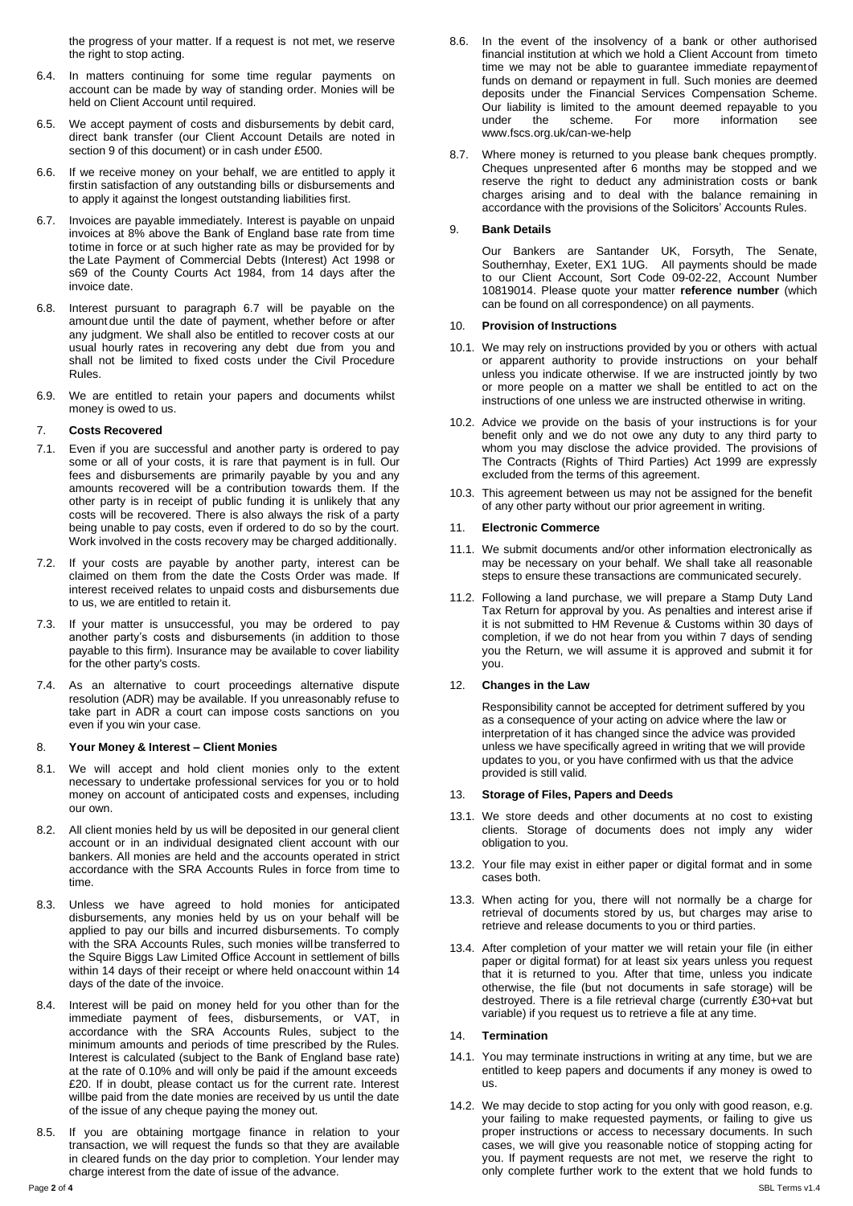the progress of your matter. If a request is not met, we reserve the right to stop acting.

- 6.4. In matters continuing for some time regular payments on account can be made by way of standing order. Monies will be held on Client Account until required.
- 6.5. We accept payment of costs and disbursements by debit card, direct bank transfer (our Client Account Details are noted in section 9 of this document) or in cash under £500.
- 6.6. If we receive money on your behalf, we are entitled to apply it firstin satisfaction of any outstanding bills or disbursements and to apply it against the longest outstanding liabilities first.
- 6.7. Invoices are payable immediately. Interest is payable on unpaid invoices at 8% above the Bank of England base rate from time totime in force or at such higher rate as may be provided for by the Late Payment of Commercial Debts (Interest) Act 1998 or s69 of the County Courts Act 1984, from 14 days after the invoice date.
- 6.8. Interest pursuant to paragraph 6.7 will be payable on the amount due until the date of payment, whether before or after any judgment. We shall also be entitled to recover costs at our usual hourly rates in recovering any debt due from you and shall not be limited to fixed costs under the Civil Procedure Rules.
- 6.9. We are entitled to retain your papers and documents whilst money is owed to us.

## 7. **Costs Recovered**

- 7.1. Even if you are successful and another party is ordered to pay some or all of your costs, it is rare that payment is in full. Our fees and disbursements are primarily payable by you and any amounts recovered will be a contribution towards them. If the other party is in receipt of public funding it is unlikely that any costs will be recovered. There is also always the risk of a party being unable to pay costs, even if ordered to do so by the court. Work involved in the costs recovery may be charged additionally.
- 7.2. If your costs are payable by another party, interest can be claimed on them from the date the Costs Order was made. If interest received relates to unpaid costs and disbursements due to us, we are entitled to retain it.
- 7.3. If your matter is unsuccessful, you may be ordered to pay another party's costs and disbursements (in addition to those payable to this firm). Insurance may be available to cover liability for the other party's costs.
- 7.4. As an alternative to court proceedings alternative dispute resolution (ADR) may be available. If you unreasonably refuse to take part in ADR a court can impose costs sanctions on you even if you win your case.

### 8. **Your Money & Interest – Client Monies**

- 8.1. We will accept and hold client monies only to the extent necessary to undertake professional services for you or to hold money on account of anticipated costs and expenses, including our own.
- 8.2. All client monies held by us will be deposited in our general client account or in an individual designated client account with our bankers. All monies are held and the accounts operated in strict accordance with the SRA Accounts Rules in force from time to time.
- 8.3. Unless we have agreed to hold monies for anticipated disbursements, any monies held by us on your behalf will be applied to pay our bills and incurred disbursements. To comply with the SRA Accounts Rules, such monies willbe transferred to the Squire Biggs Law Limited Office Account in settlement of bills within 14 days of their receipt or where held onaccount within 14 days of the date of the invoice.
- 8.4. Interest will be paid on money held for you other than for the immediate payment of fees, disbursements, or VAT, in accordance with the SRA Accounts Rules, subject to the minimum amounts and periods of time prescribed by the Rules. Interest is calculated (subject to the Bank of England base rate) at the rate of 0.10% and will only be paid if the amount exceeds £20. If in doubt, please contact us for the current rate. Interest willbe paid from the date monies are received by us until the date of the issue of any cheque paying the money out.
- 8.5. If you are obtaining mortgage finance in relation to your transaction, we will request the funds so that they are available in cleared funds on the day prior to completion. Your lender may charge interest from the date of issue of the advance.
- 8.6. In the event of the insolvency of a bank or other authorised financial institution at which we hold a Client Account from timeto time we may not be able to guarantee immediate repaymentof funds on demand or repayment in full. Such monies are deemed deposits under the Financial Services Compensation Scheme. Our liability is limited to the amount deemed repayable to you under the scheme. For more information see scheme. For [www.fscs.org.uk/can-we-help](http://www.fscs.org.uk/can-we-help)
- 8.7. Where money is returned to you please bank cheques promptly. Cheques unpresented after 6 months may be stopped and we reserve the right to deduct any administration costs or bank charges arising and to deal with the balance remaining in accordance with the provisions of the Solicitors' Accounts Rules.

## 9. **Bank Details**

Our Bankers are Santander UK, Forsyth, The Senate, Southernhay, Exeter, EX1 1UG. All payments should be made to our Client Account, Sort Code 09-02-22, Account Number 10819014. Please quote your matter **reference number** (which can be found on all correspondence) on all payments.

## 10. **Provision of Instructions**

- 10.1. We may rely on instructions provided by you or others with actual or apparent authority to provide instructions on your behalf unless you indicate otherwise. If we are instructed jointly by two or more people on a matter we shall be entitled to act on the instructions of one unless we are instructed otherwise in writing.
- 10.2. Advice we provide on the basis of your instructions is for your benefit only and we do not owe any duty to any third party to whom you may disclose the advice provided. The provisions of The Contracts (Rights of Third Parties) Act 1999 are expressly excluded from the terms of this agreement.
- 10.3. This agreement between us may not be assigned for the benefit of any other party without our prior agreement in writing.

### 11. **Electronic Commerce**

- 11.1. We submit documents and/or other information electronically as may be necessary on your behalf. We shall take all reasonable steps to ensure these transactions are communicated securely.
- 11.2. Following a land purchase, we will prepare a Stamp Duty Land Tax Return for approval by you. As penalties and interest arise if it is not submitted to HM Revenue & Customs within 30 days of completion, if we do not hear from you within 7 days of sending you the Return, we will assume it is approved and submit it for you.

### 12. **Changes in the Law**

Responsibility cannot be accepted for detriment suffered by you as a consequence of your acting on advice where the law or interpretation of it has changed since the advice was provided unless we have specifically agreed in writing that we will provide updates to you, or you have confirmed with us that the advice provided is still valid.

### 13. **Storage of Files, Papers and Deeds**

- 13.1. We store deeds and other documents at no cost to existing clients. Storage of documents does not imply any wider obligation to you.
- 13.2. Your file may exist in either paper or digital format and in some cases both.
- 13.3. When acting for you, there will not normally be a charge for retrieval of documents stored by us, but charges may arise to retrieve and release documents to you or third parties.
- 13.4. After completion of your matter we will retain your file (in either paper or digital format) for at least six years unless you request that it is returned to you. After that time, unless you indicate otherwise, the file (but not documents in safe storage) will be destroyed. There is a file retrieval charge (currently £30+vat but variable) if you request us to retrieve a file at any time.

### 14. **Termination**

- 14.1. You may terminate instructions in writing at any time, but we are entitled to keep papers and documents if any money is owed to us.
- 14.2. We may decide to stop acting for you only with good reason, e.g. your failing to make requested payments, or failing to give us proper instructions or access to necessary documents. In such cases, we will give you reasonable notice of stopping acting for you. If payment requests are not met, we reserve the right to only complete further work to the extent that we hold funds to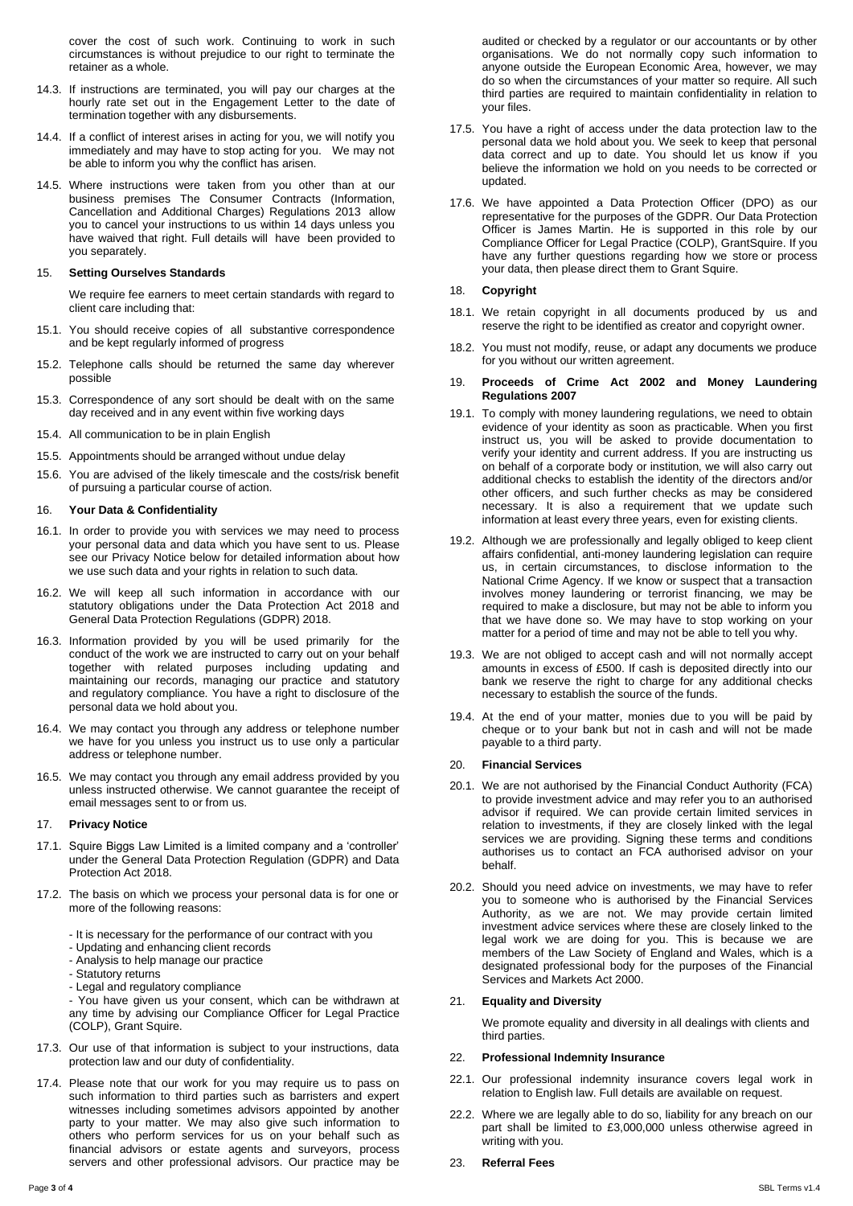cover the cost of such work. Continuing to work in such circumstances is without prejudice to our right to terminate the retainer as a whole.

- 14.3. If instructions are terminated, you will pay our charges at the hourly rate set out in the Engagement Letter to the date of termination together with any disbursements.
- 14.4. If a conflict of interest arises in acting for you, we will notify you immediately and may have to stop acting for you. We may not be able to inform you why the conflict has arisen.
- 14.5. Where instructions were taken from you other than at our business premises The Consumer Contracts (Information, Cancellation and Additional Charges) Regulations 2013 allow you to cancel your instructions to us within 14 days unless you have waived that right. Full details will have been provided to you separately.

### 15. **Setting Ourselves Standards**

We require fee earners to meet certain standards with regard to client care including that:

- 15.1. You should receive copies of all substantive correspondence and be kept regularly informed of progress
- 15.2. Telephone calls should be returned the same day wherever possible
- 15.3. Correspondence of any sort should be dealt with on the same day received and in any event within five working days
- 15.4. All communication to be in plain English
- 15.5. Appointments should be arranged without undue delay
- 15.6. You are advised of the likely timescale and the costs/risk benefit of pursuing a particular course of action.

## 16. **Your Data & Confidentiality**

- 16.1. In order to provide you with services we may need to process your personal data and data which you have sent to us. Please see our Privacy Notice below for detailed information about how we use such data and your rights in relation to such data.
- 16.2. We will keep all such information in accordance with our statutory obligations under the Data Protection Act 2018 and General Data Protection Regulations (GDPR) 2018.
- 16.3. Information provided by you will be used primarily for the conduct of the work we are instructed to carry out on your behalf together with related purposes including updating and maintaining our records, managing our practice and statutory and regulatory compliance. You have a right to disclosure of the personal data we hold about you.
- 16.4. We may contact you through any address or telephone number we have for you unless you instruct us to use only a particular address or telephone number.
- 16.5. We may contact you through any email address provided by you unless instructed otherwise. We cannot guarantee the receipt of email messages sent to or from us.

#### 17. **Privacy Notice**

- 17.1. Squire Biggs Law Limited is a limited company and a 'controller' under the General Data Protection Regulation (GDPR) and Data Protection Act 2018.
- 17.2. The basis on which we process your personal data is for one or more of the following reasons:
	- It is necessary for the performance of our contract with you
	- Updating and enhancing client records
	- Analysis to help manage our practice
	- Statutory returns
	- Legal and regulatory compliance

- You have given us your consent, which can be withdrawn at any time by advising our Compliance Officer for Legal Practice (COLP), Grant Squire.

- 17.3. Our use of that information is subject to your instructions, data protection law and our duty of confidentiality.
- 17.4. Please note that our work for you may require us to pass on such information to third parties such as barristers and expert witnesses including sometimes advisors appointed by another party to your matter. We may also give such information to others who perform services for us on your behalf such as financial advisors or estate agents and surveyors, process servers and other professional advisors. Our practice may be
- 17.5. You have a right of access under the data protection law to the personal data we hold about you. We seek to keep that personal data correct and up to date. You should let us know if you believe the information we hold on you needs to be corrected or updated.
- 17.6. We have appointed a Data Protection Officer (DPO) as our representative for the purposes of the GDPR. Our Data Protection Officer is James Martin. He is supported in this role by our Compliance Officer for Legal Practice (COLP), GrantSquire. If you have any further questions regarding how we store or process your data, then please direct them to Grant Squire.

#### 18. **Copyright**

- 18.1. We retain copyright in all documents produced by us and reserve the right to be identified as creator and copyright owner.
- 18.2. You must not modify, reuse, or adapt any documents we produce for you without our written agreement.
- 19. **Proceeds of Crime Act 2002 and Money Laundering Regulations 2007**
- 19.1. To comply with money laundering regulations, we need to obtain evidence of your identity as soon as practicable. When you first instruct us, you will be asked to provide documentation to verify your identity and current address. If you are instructing us on behalf of a corporate body or institution, we will also carry out additional checks to establish the identity of the directors and/or other officers, and such further checks as may be considered necessary. It is also a requirement that we update such information at least every three years, even for existing clients.
- 19.2. Although we are professionally and legally obliged to keep client affairs confidential, anti-money laundering legislation can require us, in certain circumstances, to disclose information to the National Crime Agency. If we know or suspect that a transaction involves money laundering or terrorist financing, we may be required to make a disclosure, but may not be able to inform you that we have done so. We may have to stop working on your matter for a period of time and may not be able to tell you why.
- 19.3. We are not obliged to accept cash and will not normally accept amounts in excess of £500. If cash is deposited directly into our bank we reserve the right to charge for any additional checks necessary to establish the source of the funds.
- 19.4. At the end of your matter, monies due to you will be paid by cheque or to your bank but not in cash and will not be made payable to a third party.

#### 20. **Financial Services**

- 20.1. We are not authorised by the Financial Conduct Authority (FCA) to provide investment advice and may refer you to an authorised advisor if required. We can provide certain limited services in relation to investments, if they are closely linked with the legal services we are providing. Signing these terms and conditions authorises us to contact an FCA authorised advisor on your behalf.
- 20.2. Should you need advice on investments, we may have to refer you to someone who is authorised by the Financial Services Authority, as we are not. We may provide certain limited investment advice services where these are closely linked to the legal work we are doing for you. This is because we are members of the Law Society of England and Wales, which is a designated professional body for the purposes of the Financial Services and Markets Act 2000.

### 21. **Equality and Diversity**

We promote equality and diversity in all dealings with clients and third parties.

#### 22. **Professional Indemnity Insurance**

- 22.1. Our professional indemnity insurance covers legal work in relation to English law. Full details are available on request.
- 22.2. Where we are legally able to do so, liability for any breach on our part shall be limited to £3,000,000 unless otherwise agreed in writing with you.
- 23. **Referral Fees**